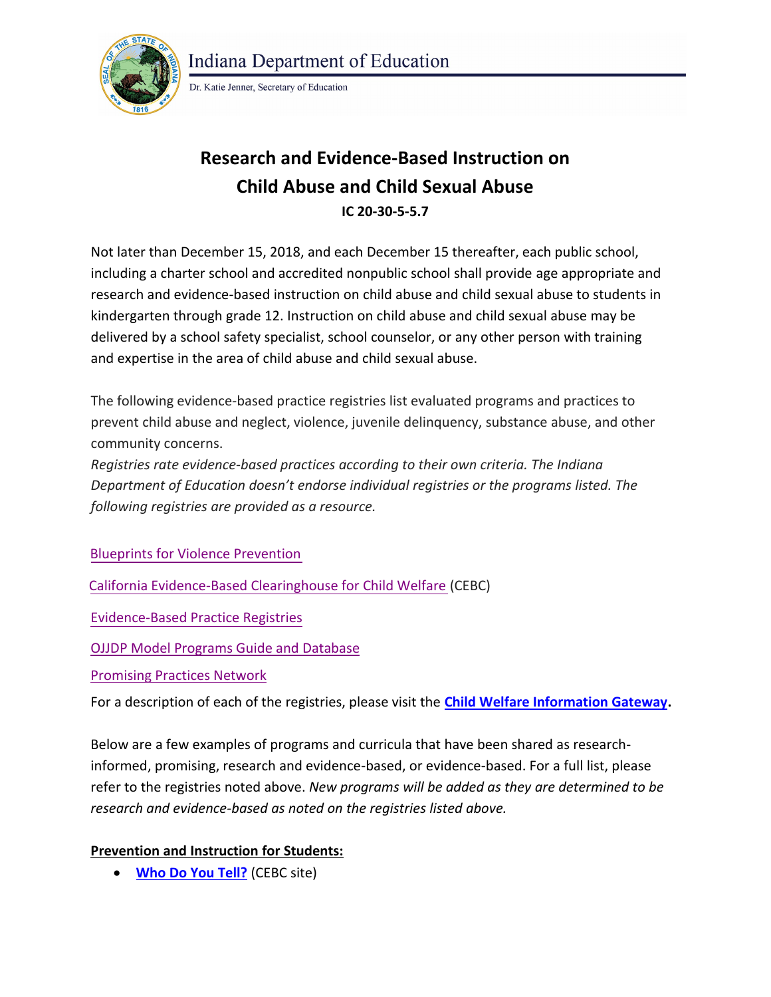

**Indiana Department of Education** 

Dr. Katie Jenner, Secretary of Education

# **Research and Evidence-Based Instruction on Child Abuse and Child Sexual Abuse IC 20-30-5-5.7**

Not later than December 15, 2018, and each December 15 thereafter, each public school, including a charter school and accredited nonpublic school shall provide age appropriate and research and evidence-based instruction on child abuse and child sexual abuse to students in kindergarten through grade 12. Instruction on child abuse and child sexual abuse may be delivered by a school safety specialist, school counselor, or any other person with training and expertise in the area of child abuse and child sexual abuse.

The following evidence-based practice registries list evaluated programs and practices to prevent child abuse and neglect, violence, juvenile delinquency, substance abuse, and other community concerns.

*Registries rate evidence-based practices according to their own criteria. The Indiana Department of Education doesn't endorse individual registries or the programs listed. The following registries are provided as a resource.* 

[Blueprints for Violence Prevention](http://www.colorado.edu/cspv/blueprints/index.html)

[California Evidence-Based Clearing](http://cfcrights.org/wp-content/uploads/2011/10/EBP-Registry-Doc-FINAL.pdf)[house for Child Welfare](http://www.cebc4cw.org/) (CEBC)

[Evidence-Based Practice Registries](http://nrepp.samhsa.gov/landing.aspx)

[OJJDP Model Programs Guide and Database](https://www.ojjdp.gov/mpg/)

[Promising Practices Network](http://www.promisingpractices.net/)

For a description of each of the registries, please visit the **[Child Welfare Information Gateway.](https://www.childwelfare.gov/topics/management/practice-improvement/evidence/registries-resources/registries/prevention/)** 

Below are a few examples of programs and curricula that have been shared as researchinformed, promising, research and evidence-based, or evidence-based. For a full list, please refer to the registries noted above. *New programs will be added as they are determined to be research and evidence-based as noted on the registries listed above.* 

## **Prevention and Instruction for Students:**

**[Who Do You Tell?](http://www.cebc4cw.org/program/who-do-you-tell/)** (CEBC site)